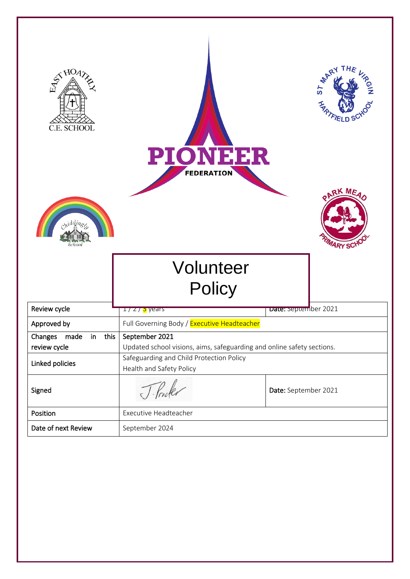| STHOA?<br>C.E. SCHOOL<br><i>midding</i> | THE<br>ST MART<br>ROIN<br><b>FIELD</b><br><b>PIONEER</b><br><b>FEDERATION</b><br>ARK MEAD<br><b>MARY SCHO</b>                                  |                      |  |
|-----------------------------------------|------------------------------------------------------------------------------------------------------------------------------------------------|----------------------|--|
|                                         | Volunteer<br>Policy                                                                                                                            |                      |  |
| Review cycle                            | <mark>ェ/ z / 3</mark> years                                                                                                                    | Date: september 2021 |  |
| Approved by                             | Full Governing Body / Executive Headteacher                                                                                                    |                      |  |
| Changes made in this                    | September 2021                                                                                                                                 |                      |  |
| review cycle<br>Linked policies         | Updated school visions, aims, safeguarding and online safety sections.<br>Safeguarding and Child Protection Policy<br>Health and Safety Policy |                      |  |
| Signed                                  | J. Procker<br>Date: September 2021                                                                                                             |                      |  |
| Position                                | Executive Headteacher                                                                                                                          |                      |  |
| Date of next Review                     | September 2024                                                                                                                                 |                      |  |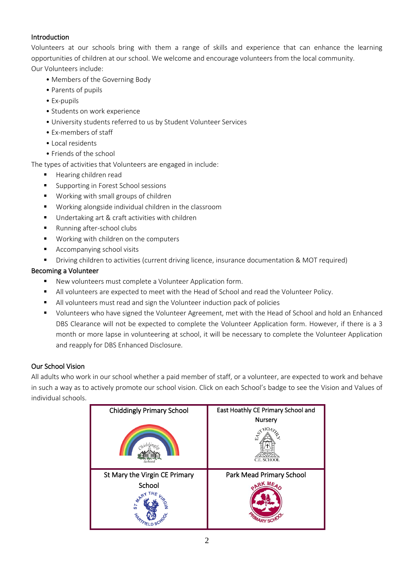# **Introduction**

Volunteers at our schools bring with them a range of skills and experience that can enhance the learning opportunities of children at our school. We welcome and encourage volunteers from the local community. Our Volunteers include:

- Members of the Governing Body
- Parents of pupils
- Ex-pupils
- Students on work experience
- University students referred to us by Student Volunteer Services
- Ex-members of staff
- Local residents
- Friends of the school

The types of activities that Volunteers are engaged in include:

- Hearing children read
- Supporting in Forest School sessions
- Working with small groups of children
- Working alongside individual children in the classroom
- Undertaking art & craft activities with children
- Running after-school clubs
- Working with children on the computers
- Accompanying school visits
- Driving children to activities (current driving licence, insurance documentation & MOT required)

## Becoming a Volunteer

- New volunteers must complete a Volunteer Application form.
- All volunteers are expected to meet with the Head of School and read the Volunteer Policy.
- All volunteers must read and sign the Volunteer induction pack of policies
- Volunteers who have signed the Volunteer Agreement, met with the Head of School and hold an Enhanced DBS Clearance will not be expected to complete the Volunteer Application form. However, if there is a 3 month or more lapse in volunteering at school, it will be necessary to complete the Volunteer Application and reapply for DBS Enhanced Disclosure.

# Our School Vision

All adults who work in our school whether a paid member of staff, or a volunteer, are expected to work and behave in such a way as to actively promote our school vision. Click on each School's badge to see the Vision and Values of individual schools.

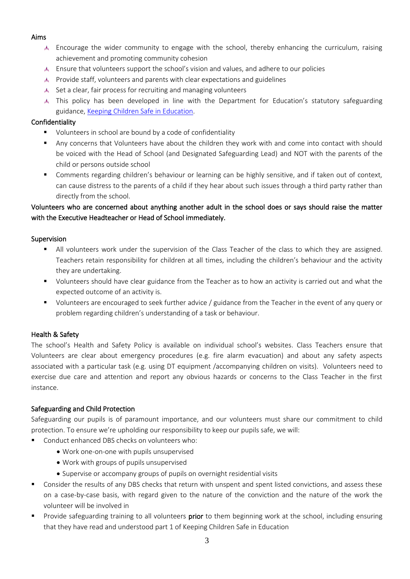## Aims

- Encourage the wider community to engage with the school, thereby enhancing the curriculum, raising achievement and promoting community cohesion
- Ensure that volunteers support the school's vision and values, and adhere to our policies
- Provide staff, volunteers and parents with clear expectations and guidelines
- $\triangle$  Set a clear, fair process for recruiting and managing volunteers
- This policy has been developed in line with the Department for Education's statutory safeguarding guidance[, Keeping Children Safe in Education.](https://www.gov.uk/government/publications/keeping-children-safe-in-education--2)

## Confidentiality

- Volunteers in school are bound by a code of confidentiality
- Any concerns that Volunteers have about the children they work with and come into contact with should be voiced with the Head of School (and Designated Safeguarding Lead) and NOT with the parents of the child or persons outside school
- Comments regarding children's behaviour or learning can be highly sensitive, and if taken out of context, can cause distress to the parents of a child if they hear about such issues through a third party rather than directly from the school.

# Volunteers who are concerned about anything another adult in the school does or says should raise the matter with the Executive Headteacher or Head of School immediately.

## Supervision

- All volunteers work under the supervision of the Class Teacher of the class to which they are assigned. Teachers retain responsibility for children at all times, including the children's behaviour and the activity they are undertaking.
- Volunteers should have clear guidance from the Teacher as to how an activity is carried out and what the expected outcome of an activity is.
- Volunteers are encouraged to seek further advice / guidance from the Teacher in the event of any query or problem regarding children's understanding of a task or behaviour.

# Health & Safety

The school's Health and Safety Policy is available on individual school's websites. Class Teachers ensure that Volunteers are clear about emergency procedures (e.g. fire alarm evacuation) and about any safety aspects associated with a particular task (e.g. using DT equipment /accompanying children on visits). Volunteers need to exercise due care and attention and report any obvious hazards or concerns to the Class Teacher in the first instance.

## Safeguarding and Child Protection

Safeguarding our pupils is of paramount importance, and our volunteers must share our commitment to child protection. To ensure we're upholding our responsibility to keep our pupils safe, we will:

- Conduct enhanced DBS checks on volunteers who:
	- Work one-on-one with pupils unsupervised
	- Work with groups of pupils unsupervised
	- Supervise or accompany groups of pupils on overnight residential visits
- Consider the results of any DBS checks that return with unspent and spent listed convictions, and assess these on a case-by-case basis, with regard given to the nature of the conviction and the nature of the work the volunteer will be involved in
- Provide safeguarding training to all volunteers **prior** to them beginning work at the school, including ensuring that they have read and understood part 1 of Keeping Children Safe in Education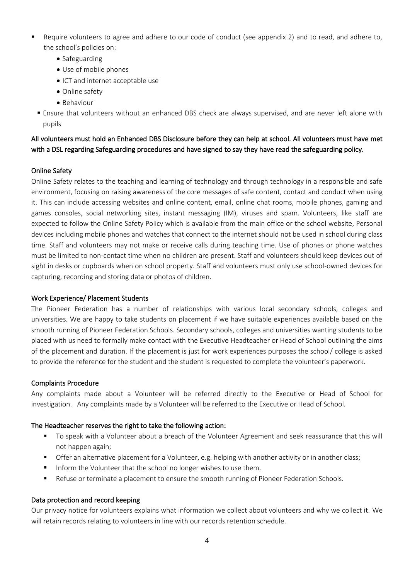- Require volunteers to agree and adhere to our code of conduct (see appendix 2) and to read, and adhere to, the school's policies on:
	- Safeguarding
	- Use of mobile phones
	- ICT and internet acceptable use
	- Online safety
	- Behaviour
	- Ensure that volunteers without an enhanced DBS check are always supervised, and are never left alone with pupils

## All volunteers must hold an Enhanced DBS Disclosure before they can help at school. All volunteers must have met with a DSL regarding Safeguarding procedures and have signed to say they have read the safeguarding policy.

### Online Safety

Online Safety relates to the teaching and learning of technology and through technology in a responsible and safe environment, focusing on raising awareness of the core messages of safe content, contact and conduct when using it. This can include accessing websites and online content, email, online chat rooms, mobile phones, gaming and games consoles, social networking sites, instant messaging (IM), viruses and spam. Volunteers, like staff are expected to follow the Online Safety Policy which is available from the main office or the school website, Personal devices including mobile phones and watches that connect to the internet should not be used in school during class time. Staff and volunteers may not make or receive calls during teaching time. Use of phones or phone watches must be limited to non-contact time when no children are present. Staff and volunteers should keep devices out of sight in desks or cupboards when on school property. Staff and volunteers must only use school-owned devices for capturing, recording and storing data or photos of children.

#### Work Experience/ Placement Students

The Pioneer Federation has a number of relationships with various local secondary schools, colleges and universities. We are happy to take students on placement if we have suitable experiences available based on the smooth running of Pioneer Federation Schools. Secondary schools, colleges and universities wanting students to be placed with us need to formally make contact with the Executive Headteacher or Head of School outlining the aims of the placement and duration. If the placement is just for work experiences purposes the school/ college is asked to provide the reference for the student and the student is requested to complete the volunteer's paperwork.

#### Complaints Procedure

Any complaints made about a Volunteer will be referred directly to the Executive or Head of School for investigation. Any complaints made by a Volunteer will be referred to the Executive or Head of School.

#### The Headteacher reserves the right to take the following action:

- To speak with a Volunteer about a breach of the Volunteer Agreement and seek reassurance that this will not happen again;
- **•** Offer an alternative placement for a Volunteer, e.g. helping with another activity or in another class;
- Inform the Volunteer that the school no longer wishes to use them.
- Refuse or terminate a placement to ensure the smooth running of Pioneer Federation Schools.

#### Data protection and record keeping

Our privacy notice for volunteers explains what information we collect about volunteers and why we collect it. We will retain records relating to volunteers in line with our records retention schedule.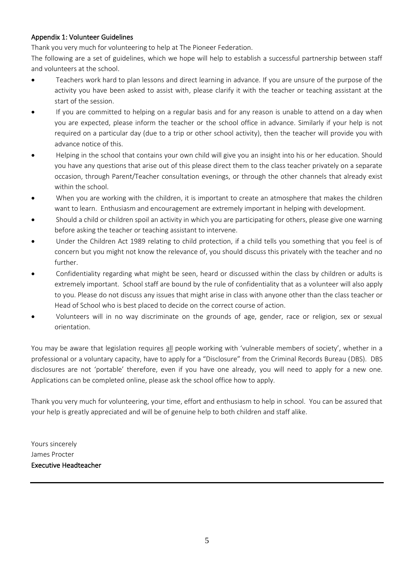## Appendix 1: Volunteer Guidelines

Thank you very much for volunteering to help at The Pioneer Federation.

The following are a set of guidelines, which we hope will help to establish a successful partnership between staff and volunteers at the school.

- Teachers work hard to plan lessons and direct learning in advance. If you are unsure of the purpose of the activity you have been asked to assist with, please clarify it with the teacher or teaching assistant at the start of the session.
- If you are committed to helping on a regular basis and for any reason is unable to attend on a day when you are expected, please inform the teacher or the school office in advance. Similarly if your help is not required on a particular day (due to a trip or other school activity), then the teacher will provide you with advance notice of this.
- Helping in the school that contains your own child will give you an insight into his or her education. Should you have any questions that arise out of this please direct them to the class teacher privately on a separate occasion, through Parent/Teacher consultation evenings, or through the other channels that already exist within the school.
- When you are working with the children, it is important to create an atmosphere that makes the children want to learn. Enthusiasm and encouragement are extremely important in helping with development.
- Should a child or children spoil an activity in which you are participating for others, please give one warning before asking the teacher or teaching assistant to intervene.
- Under the Children Act 1989 relating to child protection, if a child tells you something that you feel is of concern but you might not know the relevance of, you should discuss this privately with the teacher and no further.
- Confidentiality regarding what might be seen, heard or discussed within the class by children or adults is extremely important. School staff are bound by the rule of confidentiality that as a volunteer will also apply to you. Please do not discuss any issues that might arise in class with anyone other than the class teacher or Head of School who is best placed to decide on the correct course of action.
- Volunteers will in no way discriminate on the grounds of age, gender, race or religion, sex or sexual orientation.

You may be aware that legislation requires all people working with 'vulnerable members of society', whether in a professional or a voluntary capacity, have to apply for a "Disclosure" from the Criminal Records Bureau (DBS). DBS disclosures are not 'portable' therefore, even if you have one already, you will need to apply for a new one. Applications can be completed online, please ask the school office how to apply.

Thank you very much for volunteering, your time, effort and enthusiasm to help in school. You can be assured that your help is greatly appreciated and will be of genuine help to both children and staff alike.

Yours sincerely James Procter Executive Headteacher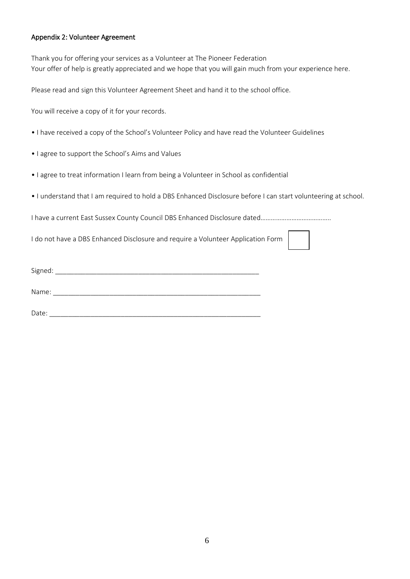### Appendix 2: Volunteer Agreement

Thank you for offering your services as a Volunteer at The Pioneer Federation Your offer of help is greatly appreciated and we hope that you will gain much from your experience here.

Please read and sign this Volunteer Agreement Sheet and hand it to the school office.

You will receive a copy of it for your records.

- I have received a copy of the School's Volunteer Policy and have read the Volunteer Guidelines
- I agree to support the School's Aims and Values
- I agree to treat information I learn from being a Volunteer in School as confidential
- I understand that I am required to hold a DBS Enhanced Disclosure before I can start volunteering at school.

I have a current East Sussex County Council DBS Enhanced Disclosure dated…………………………………..

I do not have a DBS Enhanced Disclosure and require a Volunteer Application Form

| $\sim$ $\sim$<br>⊾ור<br>. . |  |  |
|-----------------------------|--|--|
|                             |  |  |

Name:  $\blacksquare$ 

Date:  $\Box$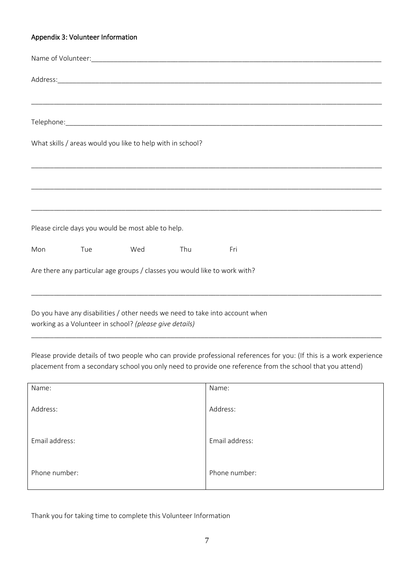### Appendix 3: Volunteer Information

|     |     | What skills / areas would you like to help with in school?                 |     |     |  |  |
|-----|-----|----------------------------------------------------------------------------|-----|-----|--|--|
|     |     |                                                                            |     |     |  |  |
|     |     |                                                                            |     |     |  |  |
|     |     | Please circle days you would be most able to help.                         |     |     |  |  |
| Mon | Tue | Wed                                                                        | Thu | Fri |  |  |
|     |     | Are there any particular age groups / classes you would like to work with? |     |     |  |  |
|     |     |                                                                            |     |     |  |  |

Do you have any disabilities / other needs we need to take into account when working as a Volunteer in school? *(please give details)*

Please provide details of two people who can provide professional references for you: (If this is a work experience placement from a secondary school you only need to provide one reference from the school that you attend)

\_\_\_\_\_\_\_\_\_\_\_\_\_\_\_\_\_\_\_\_\_\_\_\_\_\_\_\_\_\_\_\_\_\_\_\_\_\_\_\_\_\_\_\_\_\_\_\_\_\_\_\_\_\_\_\_\_\_\_\_\_\_\_\_\_\_\_\_\_\_\_\_\_\_\_\_\_\_\_\_\_\_\_\_\_\_\_\_\_\_\_\_\_

| Name:          | Name:          |
|----------------|----------------|
| Address:       | Address:       |
| Email address: | Email address: |
| Phone number:  | Phone number:  |

Thank you for taking time to complete this Volunteer Information